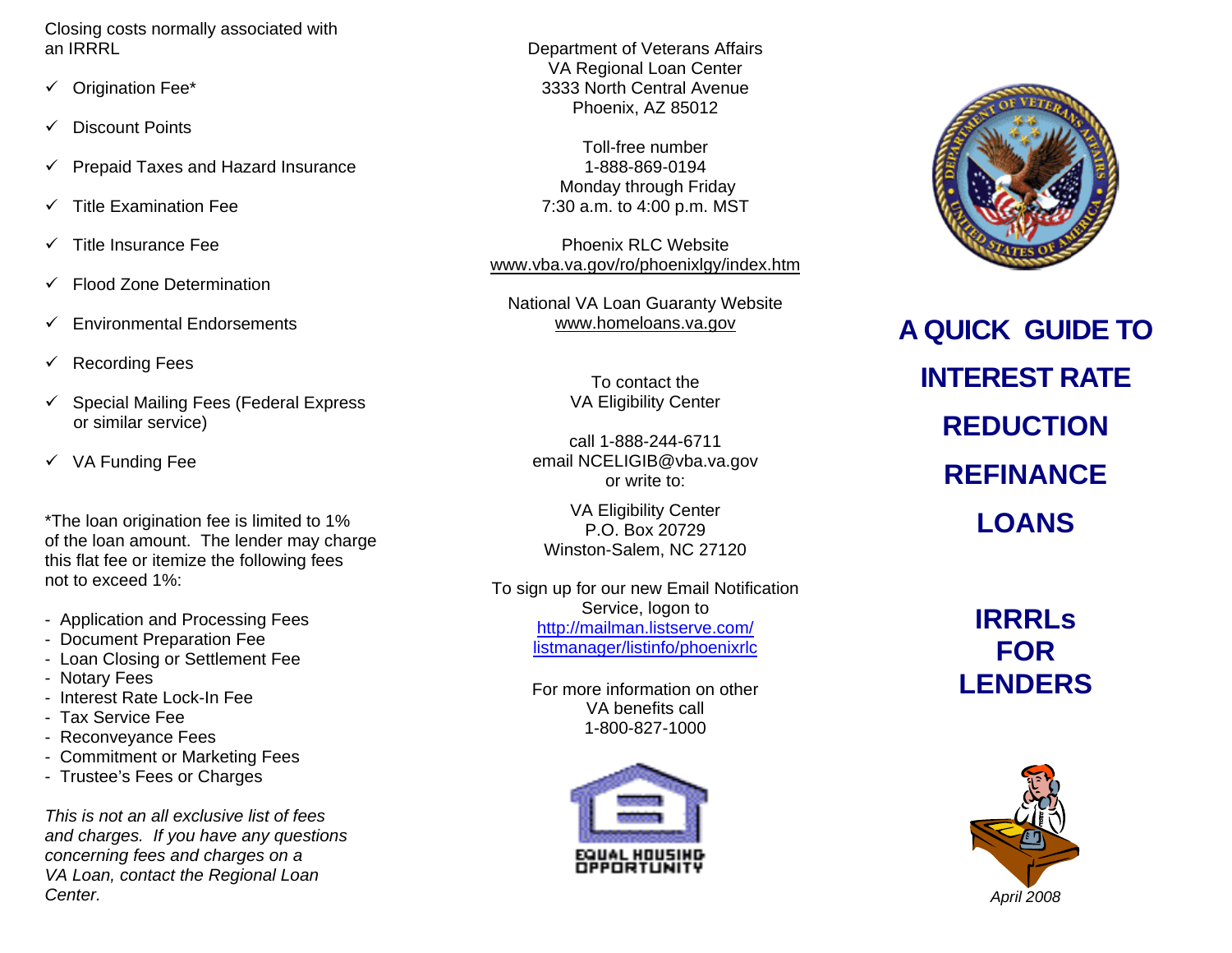Closing costs normally associated with an IRRRL

- $\checkmark$  Origination Fee\*
- $\checkmark$  Discount Points
- $\checkmark$  Prepaid Taxes and Hazard Insurance
- 9 Title Examination Fee
- Title Insurance Fee
- $\checkmark$  Flood Zone Determination
- $\checkmark$  Environmental Endorsements
- $\checkmark$  Recording Fees
- $\checkmark$  Special Mailing Fees (Federal Express or similar service)
- $\checkmark$  VA Funding Fee

\*The loan origination fee is limited to 1% of the loan amount. The lender may charge this flat fee or itemize the following fees not to exceed 1%:

- Application and Processing Fees
- Document Preparation Fee
- Loan Closing or Settlement Fee
- Notary Fees
- Interest Rate Lock-In Fee
- Tax Service Fee
- Reconveyance Fees
- Commitment or Marketing Fees
- Trustee's Fees or Charges

*This is not an all exclusive list of fees and charges. If you have any questions concerning fees and charges on a VA Loan, contact the Regional Loan Center.*

Department of Veterans Affairs VA Regional Loan Center 3333 North Central Avenue Phoenix, AZ 85012

Toll-free number 1-888-869-0194 Monday through Friday 7:30 a.m. to 4:00 p.m. MST

Phoenix RLC Website www.vba.va.gov/ro/phoenixlgy/index.htm

National VA Loan Guaranty Website www.homeloans.va.gov

> To contact the VA Eligibility Center

call 1-888-244-6711 email NCELIGIB@vba.va.gov or write to:

VA Eligibility Center P.O. Box 20729 Winston-Salem, NC 27120

To sign up for our new Email Notification Service, logon to [http://mailman.listserve.com/](http://mailman.listserve.com/%0Blistmanager/listinfo/phoenixrlc) [listmanager/listinfo/phoenixrlc](http://mailman.listserve.com/%0Blistmanager/listinfo/phoenixrlc)

> For more information on other VA benefits call 1-800-827-1000





**A QUICK GUIDE TO INTEREST RATE REDUCTION REFINANCE LOANS** 

> **IRRRLs FOR LENDERS**